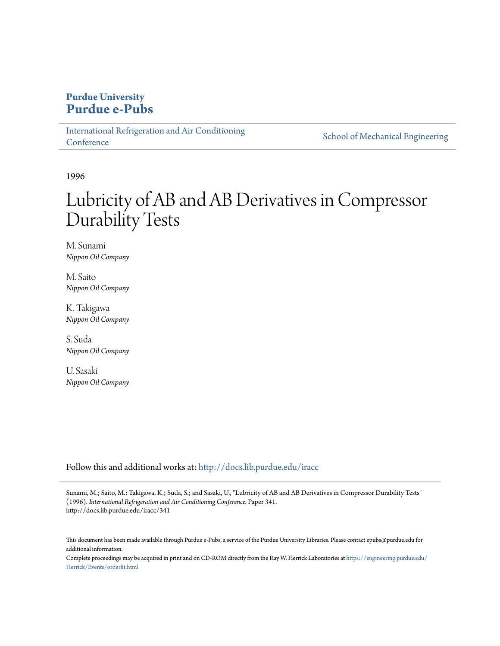## **Purdue University [Purdue e-Pubs](http://docs.lib.purdue.edu?utm_source=docs.lib.purdue.edu%2Firacc%2F341&utm_medium=PDF&utm_campaign=PDFCoverPages)**

[International Refrigeration and Air Conditioning](http://docs.lib.purdue.edu/iracc?utm_source=docs.lib.purdue.edu%2Firacc%2F341&utm_medium=PDF&utm_campaign=PDFCoverPages) **[Conference](http://docs.lib.purdue.edu/iracc?utm_source=docs.lib.purdue.edu%2Firacc%2F341&utm_medium=PDF&utm_campaign=PDFCoverPages)** 

[School of Mechanical Engineering](http://docs.lib.purdue.edu/me?utm_source=docs.lib.purdue.edu%2Firacc%2F341&utm_medium=PDF&utm_campaign=PDFCoverPages)

1996

# Lubricity of AB and AB Derivatives in Compressor Durability Tests

M. Sunami *Nippon Oil Company*

M. Saito *Nippon Oil Company*

K. Takigawa *Nippon Oil Company*

S. Suda *Nippon Oil Company*

U. Sasaki *Nippon Oil Company*

Follow this and additional works at: [http://docs.lib.purdue.edu/iracc](http://docs.lib.purdue.edu/iracc?utm_source=docs.lib.purdue.edu%2Firacc%2F341&utm_medium=PDF&utm_campaign=PDFCoverPages)

Sunami, M.; Saito, M.; Takigawa, K.; Suda, S.; and Sasaki, U., "Lubricity of AB and AB Derivatives in Compressor Durability Tests" (1996). *International Refrigeration and Air Conditioning Conference.* Paper 341. http://docs.lib.purdue.edu/iracc/341

This document has been made available through Purdue e-Pubs, a service of the Purdue University Libraries. Please contact epubs@purdue.edu for additional information.

Complete proceedings may be acquired in print and on CD-ROM directly from the Ray W. Herrick Laboratories at [https://engineering.purdue.edu/](https://engineering.purdue.edu/Herrick/Events/orderlit.html) [Herrick/Events/orderlit.html](https://engineering.purdue.edu/Herrick/Events/orderlit.html)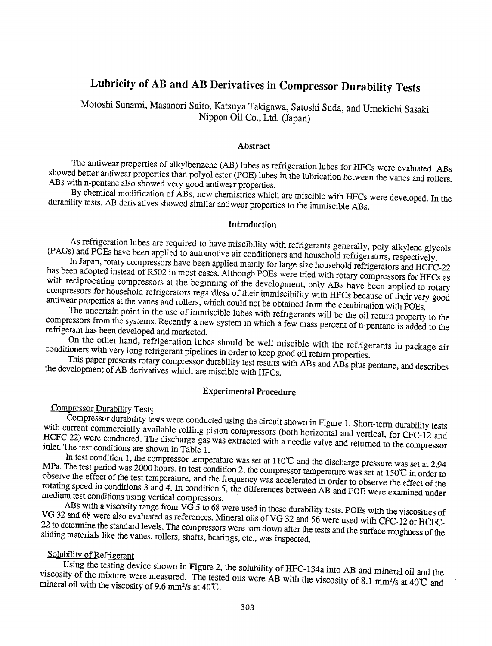## Lubricity of AB and AB Derivatives in Compressor Durability Tests

Motoshi Sunami, Masanori Saito, Katsuya Takigawa, Satoshi Suda, and Umekichi Sasaki Nippon Oil Co., Ltd. (Japan)

#### Abstract

The antiwear properties of alkylbenzene (AB) lubes as refrigeration lubes for HFCs were evaluated. ABs ABs with n-pentane also showed very good antiwear properties. showed better antiwear properties than polyol ester (POE) lubes in the lubrication between the vanes and rollers.

By chemical modification of ABs, new chemistries which are miscible with HFCs were developed. In the durability tests, AB derivatives showed similar antiwear properties to the immiscible ABs.

#### Introduction

As refrigeration lubes are required to have miscibility with refrigerants generally, poly alkylene glycols (PAGs) and POEs have been applied to automotive air conditioners and household refrigerators, respectively.

In Japan, rotary compressors have been applied mainly for large size household refrigerators and HCFC-22 has been adopted instead of R502 in most cases. Although POEs were tried with rotary compressors for HFCs as with reciprocating compressors at the beginning of the development, only ABs have been applied to rotary compressors for household refrigerators regardless of their immiscibility with HFCs because of their very good antiwear properties at the vanes and rollers, which could not be obtained from the combination with POEs.

The uncertain point in the use of immiscible lubes with refrigerants will be the oil return property to the compressors from the systems. Recently a new system in which a few mass percent of n-pemane is added to the refrigerant has been developed and marketed.

On the other hand, refrigeration lubes should be well miscible with the refrigerants in package air conditioners with very long refrigerant pipelines in order to keep good oil return properties.

This paper presents rotary compressor durability test results with ABs and ABs plus pentane, and describes the development of AB derivatives which are miscible with HFCs.

## Experimental Procedure

### Compressor Durability Tests

with current commercially available rolling piston compressors (both horizontal and vertical, for CFC-12 and<br>HCEC-22) ware conducted. The direction of the state of the both horizontal and vertical, for CFC-12 and Compressor durability tests were conducted using the circuit shown in Figure 1. Short-term durability tests HCFC-22) were conducted. The discharge gas was extracted with a needle valve and returned to the compressor<br>inlet The test conditions are shown in Table 1. inlet. The test conditions are shown in Table 1.

MPa. The test period was 2000 hours. In test condition 2, the compressor temperature was set at  $150^{\circ}$  in order to observe the offert of the test terms of the set at  $150^{\circ}$  in order to In test condition 1, the compressor temperature was set at  $110^{\circ}$  and the discharge pressure was set at 2.94 observe the effect of the test temperature, and the frequency was accelerated in order to observe the effect of the medium test conditions using vertical compressors. rotating speed in conditions 3 and 4. In condition 5, the differences between AB and POE were examined under

VG 32 and 68 were also evaluated as references. Mineral oils of VG 32 and 56 were used with CFC-12 or HCFC-ABs with a viscosity range from VG 5 to 68 were used in these durability tests. POEs with the viscosities of 22 to determine the standard levels. The compressors were tom down after the tests and the surface roughness of the sliding materials like the vanes, rollers, shafts, bearings, etc., was inspected.

### Solubility of Refrigerant

Using the testing device shown in Figure 2, the solubility of HFC-134a into AB and mineral oil and the viscosity of the mixture were measured. The tested oils were AB with the viscosity of 8.1 mm<sup>2</sup>/s at 40°C and mineral oil with the viscosity of 8.1 mm<sup>2</sup>/s at 40°C and mineral oil with the viscosity of 9.6 mm<sup>2</sup>/s at 40°C.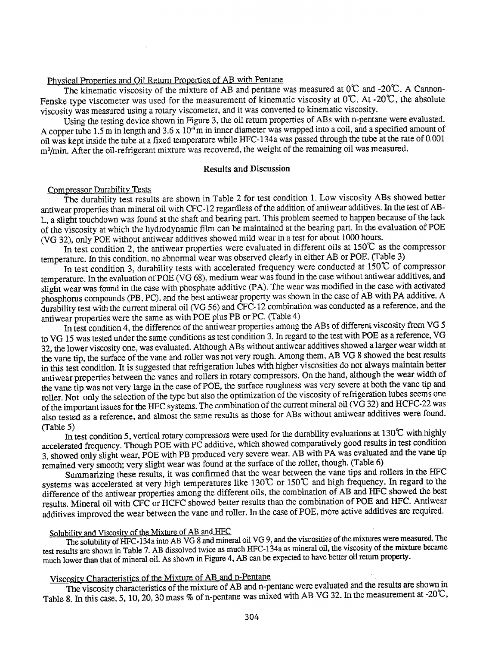#### Physical Properties and Oil Return Properties of AB with Pentane

The kinematic viscosity of the mixture of AB and pentane was measured at  $0^{\circ}$ C and -20 $^{\circ}$ C. A Cannon-Fenske type viscometer was used for the measurement of kinematic viscosity at  $0^\circ$ C. At -20 $^\circ$ C, the absolute viscosity was measured using a rotary viscometer, and it was converted to kinematic viscosity.

Using the testing device shown in Figure 3, the oil return properties of ABs with n-pentane were evaluated. A copper tube 1.5 m in length and  $3.6 \times 10^{-3}$  m in inner diameter was wrapped into a coil, and a specified amount of oil was kept inside the tube at a fixed temperature while HFC-134a was passed through the tube at the rate of 0.001 m<sup>3</sup>/min. After the oil-refrigerant mixture was recovered, the weight of the remaining oil was measured.

#### Results and Discussion

#### Compressor Durability Tests

The durability test results are shown in Table 2 for test condition 1. Low viscosity ABs showed better antiwear properties than mineral oil with CFC-12 regardless of the addition of antiwear additives. In the test of AB-L, a slight touchdown was found at the shaft and bearing part. This problem seemed to happen because of the lack of the viscosity at which the hydrodynamic film can be maintained at the bearing part. In the evaluation of POE (VG 32), only POE without antiwear additives showed mild wear in a test for about 1000 hours.

In test condition 2, the antiwear properties were evaluated in different oils at  $150^{\circ}$ C as the compressor temperature. In this condition, no abnormal wear was observed clearly in either AB or POE. (Table 3)

In test condition 3, durability tests with accelerated frequency were conducted at  $150^{\circ}$  of compressor temperature. In the evaluation of POE (VG 68), medium wear was found in the case without antiwear additives, and slight wear was found in the case with phosphate additive (PA). The wear was modified in the case with activated phosphorus compounds (PB, PC), and the best antiwear property was shown in the case of AB with PA additive. A durability test with the current mineral oil (VG 56) and CFC-12 combination was conducted as a reference, and the antiwear properties were the same as with POE plus PB or PC. (Table 4)

In test condition 4, the difference of the antiwear properties among the ABs of different viscosity from VG 5 to VG 15 was tested under the same conditions as test condition 3. In regard to the test with POE as a reference, VG 32, the lower viscosity one, was evaluated. Although ABs without antiwear additives showed a larger wear width at the vane tip, the surface of the vane and roller was not very rough. Among them, AB VG 8 showed the best results in this test condition. It is suggested that refrigeration lubes with higher viscosities do not always maintain better antiwear properties between the vanes and rollers in rotary compressors. On the hand, although the wear width of the vane tip was not very large in the case of POE, the surface roughness was very severe at both the vane tip and roller. Not only the selection of the type but also the optimization of the viscosity of refrigeration lubes seems one of the important issues for the HFC systems. The combination of the current mineral oil (VG 32) and HCFC-22 was also tested as a reference, and almost the same results as those for ABs without antiwear additives were found. (Table 5)

In test condition 5, vertical rotary compressors were used for the durability evaluations at 130°C with highly accelerated frequency. Though POE with PC additive, which showed comparatively good results in test condition 3, showed only slight wear, POE with PB produced very severe wear. AB with PA was evaluated and the vane tip remained very smooth; very slight wear was found at the surface of the roller, though. (Table 6)

Summarizing these results, it was confirmed that the wear between the vane tips and rollers in the HFC systems was accelerated at very high temperatures like 130°C or 150°C and high frequency. In regard to the difference of the antiwear properties among the different oils, the combination of AB and HFC showed the best results. Mineral oil with CFC or HCFC showed better results than the combination of POE and HFC. Antiwear additives improved the wear between the vane and roller. In the case of POE, more active additives are required.

## Solubility and Viscosity of the Mixture of AB and HFC

The solubility of HFC-134a into AB VG 8 and mineral oil VG 9, and the viscosities of the mixtures were measured. The test results are shown in Table 7. AB dissolved twice as much HFC-134a as mineral oil, the viscosity of the mixture became much lower than that of mineral oil. As shown in Figure 4, AB can be expected to have better oil return property.

## Viscosity Characteristics of the Mixture of AB and n-Pentane

The viscosity characteristics of the mixture of AB and n-pentane were evaluated and the results ate shown in Table 8. In this case, 5, 10, 20, 30 mass % of n-pentane was mixed with AB VG 32. In the measurement at -20°C,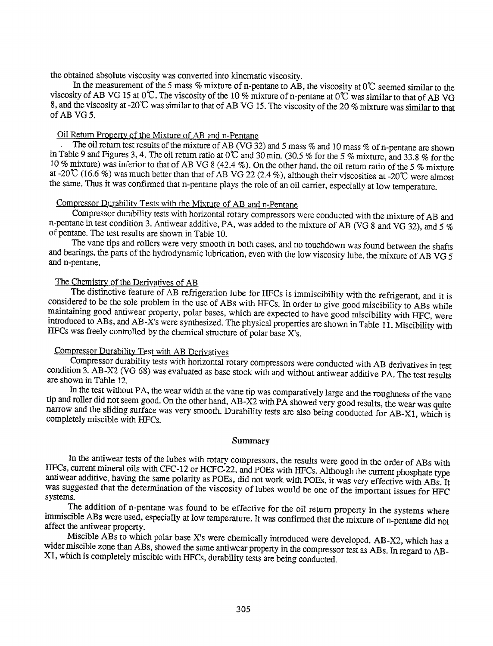the obtained absolute viscosity was converted into kinematic viscosity.

In the measurement of the 5 mass % mixture of n-pentane to AB, the viscosity at  $0^{\circ}$ C seemed similar to the viscosity of AB VG 15 at  $0^{\circ}$ . The viscosity of the 10% mixture of n-pentane at  $0^{\circ}$  was similar to that of AB VG 8, and the viscosity at -20°C was similar to that of AB VG 15. The viscosity of the 20% mixture was similar to that of AB VG5.

## Oil Return Property of the Mixture of AB and n~Pentane

The oil return test results of the mixture of AB (VG 32) and 5 mass % and 10 mass % of n-pentane are shown in Table 9 and Figures 3, 4. The oil return ratio at 0°C and 30 min. (30.5% for the 5% mixture, and 33.8% for the 10% mixture) was inferior to that of AB VG 8 (42.4 %). On the other hand, the oil return ratio of the 5 %mixture at -20°C (16.6 %) was much better than that of AB VG 22 (2.4 %), although their viscosities at -20°C were almost the same. Thus it was confirmed that n-pentane plays the role of an oil carrier, especially at low temperature.

#### Compressor Durability Tests with the Mixture of AB and n~Pentane

Compressor durability tests with horizontal rotary compressors were conducted with the mixture of AB and n-pentane in test condition 3. Antiwear additive, PA, was added to the mixture of AB (VG 8 and VG 32), and 5  $\%$ of pentane. The test results are shown in Table 10.

The vane tips and rollers were very smooth in both cases, and no touchdown was found between the shafts and bearings, the parts of the hydrodynamic lubrication, even with the low viscosity lube, the mixture of AB VG 5 and n-pentane.

#### The Chemistry of the Derivatives of AB

The distinctive feature of AB refrigeration lube for HFCs is immiscibility with the refrigerant, and it is considered to be the sole problem in the use of ABs with HFCs. In order to give good miscibility to ABs while maintaining good antiwear property, polar bases, which are expected to have good miscibility with HFC, were introduced to ABs, and AB-X's were synthesized. The physical properties are shown in Table 11. Miscibility with HFCs was freely controlled by the chemical structure of polar base X's.

## Compressor Durability Test with AB Derivatives

Compressor durability tests with horizontal rotary compressors were conducted with AB derivatives in test condition 3. AB-X2 (VG 68) was evaluated as base stock with and without antiwear additive PA. The test results are shown in Table 12.

In the test without PA, the wear width at the vane tip was comparatively large and the roughness of the vane tip and roller did not seem good. On the other hand, AB-X2 with PA showed very good results, the wear was quite narrow and the sliding surface was very smooth. Durability tests are also being conducted for AB-Xl, which is completely miscible with HFCs.

#### Summary

In the antiwear tests of the lubes with rotary compressors, the results were good in the order of ABs with HFCs, current mineral oils with CFC-12 or HCFC·22, and POEs with HFCs. Although the current phosphate type antiwear additive, having the same polarity as POEs, did not work with POEs, it was very effective with ABs. It was suggested that the determination of the viscosity of lubes would be one of the important issues for HFC systems.

The addition of n·pentane was found to be effective for the oil return property in the systems where immiscible ABs were used, especially at low temperature. It was confirmed that the mixture of n-pentane did not affect the antiwear property.

Miscible ABs to which polar base X's were chemically introduced were developed. AB-X2, which has a wider miscible zone than ABs, showed the same antiwear property in the compressor test as ABs. In regard to AB-Xl, which is completely miscible with HFCs, durability tests are being conducted.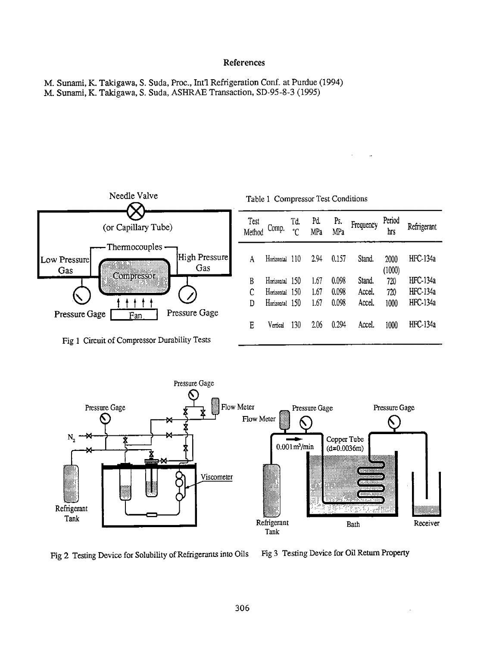#### References

M. Sunami, K. Takigawa, S. Suda, Proc., Int'1 Refrigeration Conf. at Purdue (1994) M. Sunami, K. Takigawa, S. Suda, ASHRAE Transaction, SD-95-8-3 (1995)



Fig 1 Circuit of Compressor Durability Tests



Fig 2 Testing Device for Solubility of Refrigerants into Oils Fig 3 Testing Device for Oil Return Property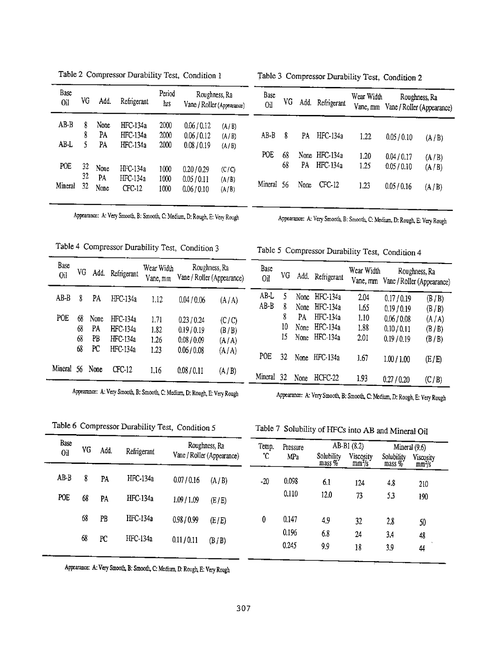| Base<br>Oil | VG       | Add.       | Refrigerant            | Period<br>hrs | Roughness, Ra<br>Vane / Roller (Appearance) |                | Base<br>OЦ | VG  | Add. | Refrigerant   | Wear Width<br>Vane, mm |           | Roughness, Ra              |
|-------------|----------|------------|------------------------|---------------|---------------------------------------------|----------------|------------|-----|------|---------------|------------------------|-----------|----------------------------|
|             |          |            |                        |               |                                             |                |            |     |      |               |                        |           | Vane / Roller (Appearance) |
| $AB-B$      | 8<br>8   | None<br>PA | HFC-134a<br>HFC-134a   | 2000<br>2000  | 0.06/0.12<br>0.06/0.12                      | (A/B)<br>(A/B) | AB-B       | 8   | PA   | HFC-134a      | 1.22                   | 0.05/0.10 |                            |
| AB-L        | ς        | PA         | HFC-134a               | 2000          | 0.08 / 0.19                                 | (A/B)          |            |     |      |               |                        |           | (A/B)                      |
|             |          |            |                        |               |                                             |                | POE        | 68  |      | None HFC-134a | 1.20                   | 0.04/0.17 | (A/B)                      |
| POE         | 32<br>32 | None       | HFC-134a               | 1000          | 0.20/0.29                                   | (C/C)          |            | 68  | PA   | $HFC-134a$    | 1.25                   | 0.05/0.10 | (A/B)                      |
| Mineral     | 32       | PA<br>None | $HFC-134a$<br>$CFC-12$ | 1000<br>1000  | 0.05/0.11<br>0.06 / 0.10                    | (A/B)<br>(A/B) | Mineral    | -56 | None | CFC-12        | 1.23                   | 0.05/0.16 | (A/B)                      |

Table 2 Compressor Durability Test, Condition 1 Table 3 Compressor Durability Test, Condition 2

Appearance: A: Very Smooth, B: Smooth, C: Medium, D: Rough, E: Very Rough Appearance: A: Very Smooth, B: Smooth, C: Medium, D: Rough, E: Very Rough

Vane, mm Vane / Roller (Appearance)

## Table 4 Compressor Durability Test, Condition 3 Table *5* Compressor Durability Test, Condition 4

Base<br>
Oil VG Add. Refrigerant Vane, mm Vane / Roller (Appearance) Oil VG Add. Refrigerant Vane mm Vane / Roller (Appearance) AB-B 8 PA HFC-I34a 1.12 0.04 *!0.06* (A/A) AB-L 5 None HFC-134a 2.04 0.17/0.19 (B /B) POE 68 None HFC-134a 1.71 0.23/0.24 (C/C) 8 PA HFC-134a 1.10 0.06/0.08 (A/A) 68 PA HFC-134a 1.82 0.19/0.19 (B/B) 10 None HFC-134a 1.88 0.10/0.11 (B/B) 68 PB HFC-134a 1.26 0.08/0.09  $(A/A)$  15 None HFC-134a 2.01 0.19/0.19 (B/B) 68 PC HFC-134a 1.23 0.06/0.08 (A/A) POE 32 None HFC-134a 1.67 1.00/1.00 (E/E) Mineral 56 None CFC-12 1.16 0.08 I 0.11 (A/B) Mineral 32 None HCFC-22 1.93 0.27/0.20 (C/B)

Appearance: A: Vezy Smooth, B: Smooth, C: Medium, D: Rough, E: Very Rough Appearance: A: Very Smooth, B: Smooth, C: Medium, D: Rough, E: Very Rough

AB-B 8 None HFC-134a 1.65 0.19/0.19 (B/B)<br>8 PA HFC-134a 1.10 0.06/0.08 (A/A)

Table 6 Compressor Durability Test, Condition 5

|  |  | Table 7 Solubility of HFCs into AB and Mineral Oil |  |  |
|--|--|----------------------------------------------------|--|--|
|--|--|----------------------------------------------------|--|--|

| Base<br><b>Oil</b> | YG | Add. | Refrigerant | Roughness, Ra<br>Vane / Roller (Appearance) |       | Temp. | Pressure       | AB-B1 (8.2)                     |                                 | Mineral $(9.6)$        |                                 |  |
|--------------------|----|------|-------------|---------------------------------------------|-------|-------|----------------|---------------------------------|---------------------------------|------------------------|---------------------------------|--|
|                    |    |      |             |                                             |       | ٠с    | MPa            | Solubility<br>$\text{mass } \%$ | Viscosity<br>mm <sup>2</sup> /s | Solubility<br>$mass\%$ | Viscosity<br>mm <sup>2</sup> /s |  |
| $AB-B$             | 8  | PA   | HFC-134a    | 0.07/0.16                                   | (A/B) | $-20$ | 0.098          | 6.1                             | 124                             | 4.8                    | 210                             |  |
| POE                | 68 | PA   | HFC-134a    | 1.09 / 1.09                                 | (E/E) |       | 0.110          | 12.0                            | 73                              | 53                     | 190                             |  |
|                    | 68 | PB   | HFC-134a    | 0.98/0.99                                   | (E/E) | 0     | 0.147          | 4,9                             | 32                              | 2.8                    | 50                              |  |
|                    | 68 | PC   | HFC-134a    | 0.11/0.11                                   | (B/B) |       | 0.196<br>0.245 | 6.8<br>9.9                      | 24<br>18                        | 3.4<br>3.9             | 48<br>44                        |  |

Appearance: A: Very Smooth, B: Smooth, C: Medium, D: Rough, E: Very Rough